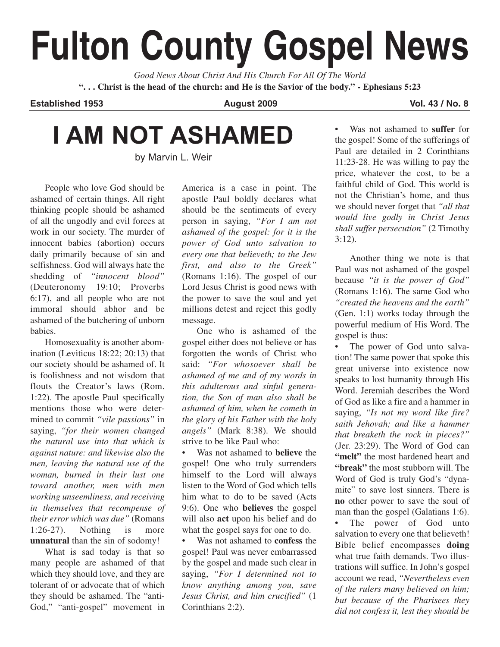# **Fulton County Gospel News**

*Good News About Christ And His Church For All Of The World* **". . . Christ is the head of the church: and He is the Savior of the body." - Ephesians 5:23**

**Established 1953 August 2009 Vol. 43 / No. 8**

## **I AM NOT ASHAMED**

by Marvin L. Weir

People who love God should be ashamed of certain things. All right thinking people should be ashamed of all the ungodly and evil forces at work in our society. The murder of innocent babies (abortion) occurs daily primarily because of sin and selfishness. God will always hate the shedding of *"innocent blood"* (Deuteronomy 19:10; Proverbs 6:17), and all people who are not immoral should abhor and be ashamed of the butchering of unborn babies.

Homosexuality is another abomination (Leviticus 18:22; 20:13) that our society should be ashamed of. It is foolishness and not wisdom that flouts the Creator's laws (Rom. 1:22). The apostle Paul specifically mentions those who were determined to commit *"vile passions"* in saying, *"for their women changed the natural use into that which is against nature: and likewise also the men, leaving the natural use of the woman, burned in their lust one toward another, men with men working unseemliness, and receiving in themselves that recompense of their error which was due"* (Romans 1:26-27). Nothing is more **unnatural** than the sin of sodomy!

What is sad today is that so many people are ashamed of that which they should love, and they are tolerant of or advocate that of which they should be ashamed. The "anti-God," "anti-gospel" movement in

America is a case in point. The apostle Paul boldly declares what should be the sentiments of every person in saying, *"For I am not ashamed of the gospel: for it is the power of God unto salvation to every one that believeth; to the Jew first, and also to the Greek"* (Romans 1:16). The gospel of our Lord Jesus Christ is good news with the power to save the soul and yet millions detest and reject this godly message.

One who is ashamed of the gospel either does not believe or has forgotten the words of Christ who said: *"For whosoever shall be ashamed of me and of my words in this adulterous and sinful generation, the Son of man also shall be ashamed of him, when he cometh in the glory of his Father with the holy angels"* (Mark 8:38). We should strive to be like Paul who:

• Was not ashamed to **believe** the gospel! One who truly surrenders himself to the Lord will always listen to the Word of God which tells him what to do to be saved (Acts 9:6). One who **believes** the gospel will also **act** upon his belief and do what the gospel says for one to do.

• Was not ashamed to **confess** the gospel! Paul was never embarrassed by the gospel and made such clear in saying, *"For I determined not to know anything among you, save Jesus Christ, and him crucified"* (1 Corinthians 2:2).

• Was not ashamed to **suffer** for the gospel! Some of the sufferings of Paul are detailed in 2 Corinthians 11:23-28. He was willing to pay the price, whatever the cost, to be a faithful child of God. This world is not the Christian's home, and thus we should never forget that *"all that would live godly in Christ Jesus shall suffer persecution"* (2 Timothy 3:12).

Another thing we note is that Paul was not ashamed of the gospel because *"it is the power of God"* (Romans 1:16). The same God who *"created the heavens and the earth"* (Gen. 1:1) works today through the powerful medium of His Word. The gospel is thus:

The power of God unto salvation! The same power that spoke this great universe into existence now speaks to lost humanity through His Word. Jeremiah describes the Word of God as like a fire and a hammer in saying, *"Is not my word like fire? saith Jehovah; and like a hammer that breaketh the rock in pieces?"* (Jer. 23:29). The Word of God can **"melt"** the most hardened heart and **"break"** the most stubborn will. The Word of God is truly God's "dynamite" to save lost sinners. There is **no** other power to save the soul of man than the gospel (Galatians 1:6).

• The power of God unto salvation to every one that believeth! Bible belief encompasses **doing** what true faith demands. Two illustrations will suffice. In John's gospel account we read, *"Nevertheless even of the rulers many believed on him; but because of the Pharisees they did not confess it, lest they should be*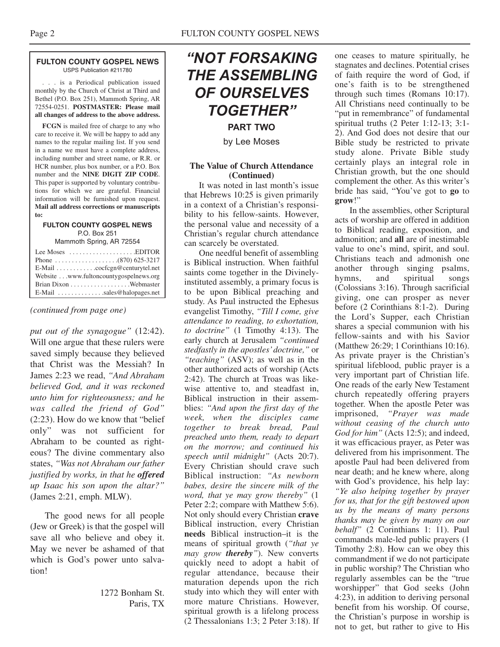USPS Publication #211780

. . . is a Periodical publication issued monthly by the Church of Christ at Third and Bethel (P.O. Box 251), Mammoth Spring, AR 72554-0251. **POSTMASTER: Please mail all changes of address to the above address.**

**FCGN** is mailed free of charge to any who care to receive it. We will be happy to add any names to the regular mailing list. If you send in a name we must have a complete address, including number and street name, or R.R. or HCR number, plus box number, or a P.O. Box number and the **NINE DIGIT ZIP CODE**. This paper is supported by voluntary contributions for which we are grateful. Financial information will be furnished upon request. **Mail all address corrections or manuscripts to:**

#### **FULTON COUNTY GOSPEL NEWS** P.O. Box 251

Mammoth Spring, AR 72554

| Lee Moses $\dots\dots\dots\dots\dots\dots$ . EDITOR       |  |
|-----------------------------------------------------------|--|
|                                                           |  |
| $E$ -Mail $\ldots \ldots \ldots$ . cocfcgn@centurytel.net |  |
| Website www.fultoncountygospelnews.org                    |  |
|                                                           |  |
| $E$ -Mail sales@halopages.net                             |  |

#### *(continued from page one)*

*put out of the synagogue"* (12:42). Will one argue that these rulers were saved simply because they believed that Christ was the Messiah? In James 2:23 we read, *"And Abraham believed God, and it was reckoned unto him for righteousness; and he was called the friend of God"* (2:23). How do we know that "belief only" was not sufficient for Abraham to be counted as righteous? The divine commentary also states, *"Was not Abraham our father justified by works, in that he offered up Isaac his son upon the altar?"* (James 2:21, emph. MLW).

The good news for all people (Jew or Greek) is that the gospel will save all who believe and obey it. May we never be ashamed of that which is God's power unto salvation!

> 1272 Bonham St. Paris, TX

### *"NOT FORSAKING THE ASSEMBLING OF OURSELVES TOGETHER"*

**PART TWO**

by Lee Moses

#### **The Value of Church Attendance (Continued)**

It was noted in last month's issue that Hebrews 10:25 is given primarily in a context of a Christian's responsibility to his fellow-saints. However, the personal value and necessity of a Christian's regular church attendance can scarcely be overstated.

One needful benefit of assembling is Biblical instruction. When faithful saints come together in the Divinelyinstituted assembly, a primary focus is to be upon Biblical preaching and study. As Paul instructed the Ephesus evangelist Timothy, *"Till I come, give attendance to reading, to exhortation, to doctrine"* (1 Timothy 4:13). The early church at Jerusalem *"continued stedfastly in the apostles'doctrine,"* or *"teaching"* (ASV); as well as in the other authorized acts of worship (Acts 2:42). The church at Troas was likewise attentive to, and steadfast in, Biblical instruction in their assemblies: *"And upon the first day of the week, when the disciples came together to break bread, Paul preached unto them, ready to depart on the morrow; and continued his speech until midnight"* (Acts 20:7). Every Christian should crave such Biblical instruction: *"As newborn babes, desire the sincere milk of the word, that ye may grow thereby"* (1 Peter 2:2; compare with Matthew 5:6). Not only should every Christian **crave** Biblical instruction, every Christian **needs** Biblical instruction–it is the means of spiritual growth (*"that ye may grow thereby"*). New converts quickly need to adopt a habit of regular attendance, because their maturation depends upon the rich study into which they will enter with more mature Christians. However, spiritual growth is a lifelong process (2 Thessalonians 1:3; 2 Peter 3:18). If one ceases to mature spiritually, he stagnates and declines. Potential crises of faith require the word of God, if one's faith is to be strengthened through such times (Romans 10:17). All Christians need continually to be "put in remembrance" of fundamental spiritual truths (2 Peter 1:12-13; 3:1- 2). And God does not desire that our Bible study be restricted to private study alone. Private Bible study certainly plays an integral role in Christian growth, but the one should complement the other. As this writer's bride has said, "You've got to **go** to **grow**!"

In the assemblies, other Scriptural acts of worship are offered in addition to Biblical reading, exposition, and admonition; and **all** are of inestimable value to one's mind, spirit, and soul. Christians teach and admonish one another through singing psalms, hymns, and spiritual songs (Colossians 3:16). Through sacrificial giving, one can prosper as never before (2 Corinthians 8:1-2). During the Lord's Supper, each Christian shares a special communion with his fellow-saints and with his Savior (Matthew 26:29; 1 Corinthians 10:16). As private prayer is the Christian's spiritual lifeblood, public prayer is a very important part of Christian life. One reads of the early New Testament church repeatedly offering prayers together. When the apostle Peter was imprisoned, *"Prayer was made without ceasing of the church unto God for him"* (Acts 12:5); and indeed, it was efficacious prayer, as Peter was delivered from his imprisonment. The apostle Paul had been delivered from near death; and he knew where, along with God's providence, his help lay: *"Ye also helping together by prayer for us, that for the gift bestowed upon us by the means of many persons thanks may be given by many on our behalf"* (2 Corinthians 1: 11). Paul commands male-led public prayers (1 Timothy 2:8). How can we obey this commandment if we do not participate in public worship? The Christian who regularly assembles can be the "true worshipper" that God seeks (John 4:23), in addition to deriving personal benefit from his worship. Of course, the Christian's purpose in worship is not to get, but rather to give to His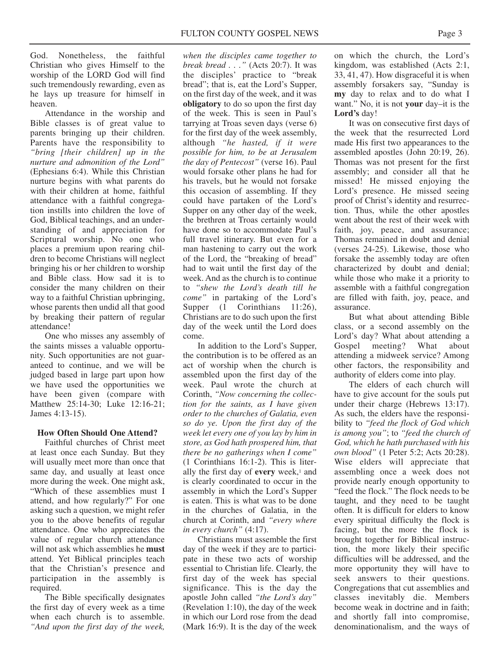God. Nonetheless, the faithful Christian who gives Himself to the worship of the LORD God will find such tremendously rewarding, even as he lays up treasure for himself in heaven.

Attendance in the worship and Bible classes is of great value to parents bringing up their children. Parents have the responsibility to *"bring [their children] up in the nurture and admonition of the Lord"* (Ephesians 6:4). While this Christian nurture begins with what parents do with their children at home, faithful attendance with a faithful congregation instills into children the love of God, Biblical teachings, and an understanding of and appreciation for Scriptural worship. No one who places a premium upon rearing children to become Christians will neglect bringing his or her children to worship and Bible class. How sad it is to consider the many children on their way to a faithful Christian upbringing, whose parents then undid all that good by breaking their pattern of regular attendance!

One who misses any assembly of the saints misses a valuable opportunity. Such opportunities are not guaranteed to continue, and we will be judged based in large part upon how we have used the opportunities we have been given (compare with Matthew 25:14-30; Luke 12:16-21; James 4:13-15).

#### **How Often Should One Attend?**

Faithful churches of Christ meet at least once each Sunday. But they will usually meet more than once that same day, and usually at least once more during the week. One might ask, "Which of these assemblies must I attend, and how regularly?" For one asking such a question, we might refer you to the above benefits of regular attendance. One who appreciates the value of regular church attendance will not ask which assemblies he **must** attend. Yet Biblical principles teach that the Christian's presence and participation in the assembly is required.

The Bible specifically designates the first day of every week as a time when each church is to assemble. *"And upon the first day of the week,*

*when the disciples came together to break bread . . ."* (Acts 20:7). It was the disciples' practice to "break bread"; that is, eat the Lord's Supper, on the first day of the week, and it was **obligatory** to do so upon the first day of the week. This is seen in Paul's tarrying at Troas seven days (verse 6) for the first day of the week assembly, although *"he hasted, if it were possible for him, to be at Jerusalem the day of Pentecost"* (verse 16). Paul would forsake other plans he had for his travels, but he would not forsake this occasion of assembling. If they could have partaken of the Lord's Supper on any other day of the week, the brethren at Troas certainly would have done so to accommodate Paul's full travel itinerary. But even for a man hastening to carry out the work of the Lord, the "breaking of bread" had to wait until the first day of the week. And as the church is to continue to *"shew the Lord's death till he come"* in partaking of the Lord's Supper (1 Corinthians 11:26), Christians are to do such upon the first day of the week until the Lord does come.

In addition to the Lord's Supper, the contribution is to be offered as an act of worship when the church is assembled upon the first day of the week. Paul wrote the church at Corinth, *"Now concerning the collection for the saints, as I have given order to the churches of Galatia, even so do ye. Upon the first day of the week let every one of you lay by him in store, as God hath prospered him, that there be no gatherings when I come"* (1 Corinthians 16:1-2). This is literally the first day of **every** week,<sup>1</sup> and is clearly coordinated to occur in the assembly in which the Lord's Supper is eaten. This is what was to be done in the churches of Galatia, in the church at Corinth, and *"every where in every church"* (4:17).

Christians must assemble the first day of the week if they are to participate in these two acts of worship essential to Christian life. Clearly, the first day of the week has special significance. This is the day the apostle John called *"the Lord's day"* (Revelation 1:10), the day of the week in which our Lord rose from the dead (Mark 16:9). It is the day of the week

on which the church, the Lord's kingdom, was established (Acts 2:1, 33, 41, 47). How disgraceful it is when assembly forsakers say, "Sunday is **my** day to relax and to do what I want." No, it is not **your** day–it is the **Lord's** day!

It was on consecutive first days of the week that the resurrected Lord made His first two appearances to the assembled apostles (John 20:19, 26). Thomas was not present for the first assembly; and consider all that he missed! He missed enjoying the Lord's presence. He missed seeing proof of Christ's identity and resurrection. Thus, while the other apostles went about the rest of their week with faith, joy, peace, and assurance; Thomas remained in doubt and denial (verses 24-25). Likewise, those who forsake the assembly today are often characterized by doubt and denial; while those who make it a priority to assemble with a faithful congregation are filled with faith, joy, peace, and assurance.

But what about attending Bible class, or a second assembly on the Lord's day? What about attending a Gospel meeting? What about attending a midweek service? Among other factors, the responsibility and authority of elders come into play.

The elders of each church will have to give account for the souls put under their charge (Hebrews 13:17). As such, the elders have the responsibility to *"feed the flock of God which is among you"*; to *"feed the church of God, which he hath purchased with his own blood"* (1 Peter 5:2; Acts 20:28). Wise elders will appreciate that assembling once a week does not provide nearly enough opportunity to "feed the flock." The flock needs to be taught, and they need to be taught often. It is difficult for elders to know every spiritual difficulty the flock is facing, but the more the flock is brought together for Biblical instruction, the more likely their specific difficulties will be addressed, and the more opportunity they will have to seek answers to their questions. Congregations that cut assemblies and classes inevitably die. Members become weak in doctrine and in faith; and shortly fall into compromise, denominationalism, and the ways of